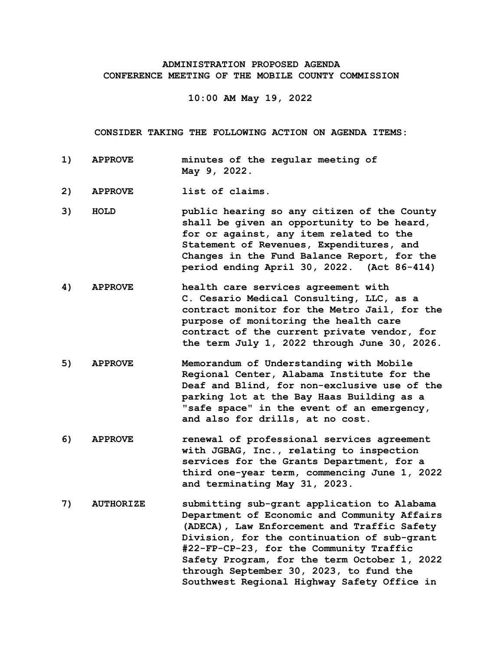## **ADMINISTRATION PROPOSED AGENDA CONFERENCE MEETING OF THE MOBILE COUNTY COMMISSION**

**10:00 AM May 19, 2022**

**CONSIDER TAKING THE FOLLOWING ACTION ON AGENDA ITEMS:**

- **1) APPROVE minutes of the regular meeting of May 9, 2022.**
- **2) APPROVE list of claims.**
- **3) HOLD public hearing so any citizen of the County shall be given an opportunity to be heard, for or against, any item related to the Statement of Revenues, Expenditures, and Changes in the Fund Balance Report, for the period ending April 30, 2022. (Act 86-414)**
- **4) APPROVE health care services agreement with C. Cesario Medical Consulting, LLC, as a contract monitor for the Metro Jail, for the purpose of monitoring the health care contract of the current private vendor, for the term July 1, 2022 through June 30, 2026.**
- **5) APPROVE Memorandum of Understanding with Mobile Regional Center, Alabama Institute for the Deaf and Blind, for non-exclusive use of the parking lot at the Bay Haas Building as a "safe space" in the event of an emergency, and also for drills, at no cost.**
- **6) APPROVE renewal of professional services agreement with JGBAG, Inc., relating to inspection services for the Grants Department, for a third one-year term, commencing June 1, 2022 and terminating May 31, 2023.**
- **7) AUTHORIZE submitting sub-grant application to Alabama Department of Economic and Community Affairs (ADECA), Law Enforcement and Traffic Safety Division, for the continuation of sub-grant #22-FP-CP-23, for the Community Traffic Safety Program, for the term October 1, 2022 through September 30, 2023, to fund the Southwest Regional Highway Safety Office in**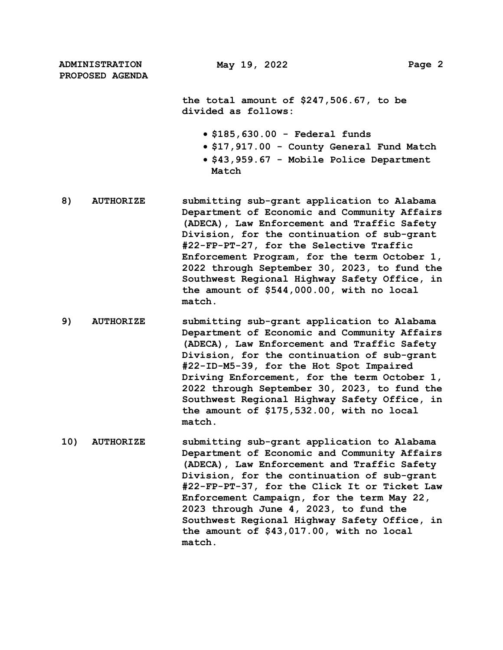**the total amount of \$247,506.67, to be divided as follows:**

- **\$185,630.00 Federal funds**
- **\$17,917.00 County General Fund Match**
- **\$43,959.67 Mobile Police Department Match**
- **8) AUTHORIZE submitting sub-grant application to Alabama Department of Economic and Community Affairs (ADECA), Law Enforcement and Traffic Safety Division, for the continuation of sub-grant #22-FP-PT-27, for the Selective Traffic Enforcement Program, for the term October 1, 2022 through September 30, 2023, to fund the Southwest Regional Highway Safety Office, in the amount of \$544,000.00, with no local match.**
- **9) AUTHORIZE submitting sub-grant application to Alabama Department of Economic and Community Affairs (ADECA), Law Enforcement and Traffic Safety Division, for the continuation of sub-grant #22-ID-M5-39, for the Hot Spot Impaired Driving Enforcement, for the term October 1, 2022 through September 30, 2023, to fund the Southwest Regional Highway Safety Office, in the amount of \$175,532.00, with no local match.**
- **10) AUTHORIZE submitting sub-grant application to Alabama Department of Economic and Community Affairs (ADECA), Law Enforcement and Traffic Safety Division, for the continuation of sub-grant #22-FP-PT-37, for the Click It or Ticket Law Enforcement Campaign, for the term May 22, 2023 through June 4, 2023, to fund the Southwest Regional Highway Safety Office, in the amount of \$43,017.00, with no local match.**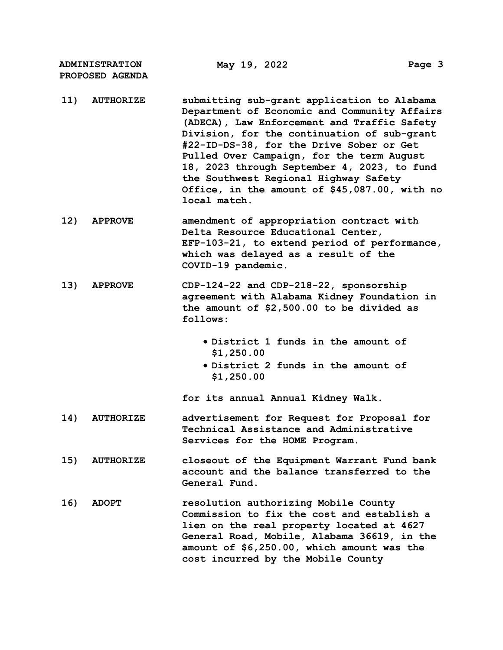- **11) AUTHORIZE submitting sub-grant application to Alabama Department of Economic and Community Affairs (ADECA), Law Enforcement and Traffic Safety Division, for the continuation of sub-grant #22-ID-DS-38, for the Drive Sober or Get Pulled Over Campaign, for the term August 18, 2023 through September 4, 2023, to fund the Southwest Regional Highway Safety Office, in the amount of \$45,087.00, with no local match.**
- **12) APPROVE amendment of appropriation contract with Delta Resource Educational Center, EFP-103-21, to extend period of performance, which was delayed as a result of the COVID-19 pandemic.**
- **13) APPROVE CDP-124-22 and CDP-218-22, sponsorship agreement with Alabama Kidney Foundation in the amount of \$2,500.00 to be divided as follows:**
	- **District 1 funds in the amount of \$1,250.00**
	- **District 2 funds in the amount of \$1,250.00**

**for its annual Annual Kidney Walk.**

- **14) AUTHORIZE advertisement for Request for Proposal for Technical Assistance and Administrative Services for the HOME Program.**
- **15) AUTHORIZE closeout of the Equipment Warrant Fund bank account and the balance transferred to the General Fund.**
- **16) ADOPT resolution authorizing Mobile County Commission to fix the cost and establish a lien on the real property located at 4627 General Road, Mobile, Alabama 36619, in the amount of \$6,250.00, which amount was the cost incurred by the Mobile County**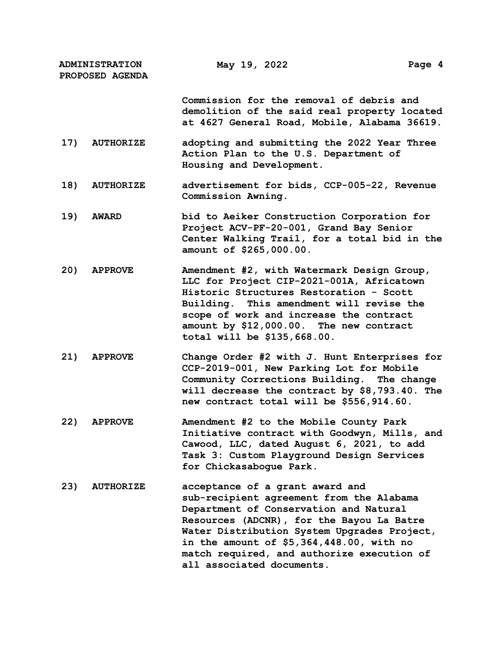> **Commission for the removal of debris and demolition of the said real property located at 4627 General Road, Mobile, Alabama 36619.**

- **17) AUTHORIZE adopting and submitting the 2022 Year Three Action Plan to the U.S. Department of Housing and Development.**
- **18) AUTHORIZE advertisement for bids, CCP-005-22, Revenue Commission Awning.**
- **19) AWARD bid to Aeiker Construction Corporation for Project ACV-PF-20-001, Grand Bay Senior Center Walking Trail, for a total bid in the amount of \$265,000.00.**
- **20) APPROVE Amendment #2, with Watermark Design Group, LLC for Project CIP-2021-001A, Africatown Historic Structures Restoration - Scott Building. This amendment will revise the scope of work and increase the contract amount by \$12,000.00. The new contract total will be \$135,668.00.**
- **21) APPROVE Change Order #2 with J. Hunt Enterprises for CCP-2019-001, New Parking Lot for Mobile Community Corrections Building. The change will decrease the contract by \$8,793.40. The new contract total will be \$556,914.60.**
- **22) APPROVE Amendment #2 to the Mobile County Park Initiative contract with Goodwyn, Mills, and Cawood, LLC, dated August 6, 2021, to add Task 3: Custom Playground Design Services for Chickasabogue Park.**
- **23) AUTHORIZE acceptance of a grant award and sub-recipient agreement from the Alabama Department of Conservation and Natural Resources (ADCNR), for the Bayou La Batre Water Distribution System Upgrades Project, in the amount of \$5,364,448.00, with no match required, and authorize execution of all associated documents.**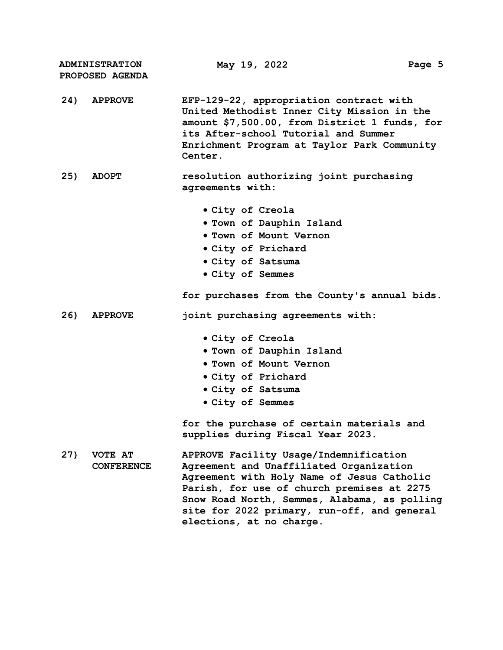|     | <b>ADMINISTRATION</b><br>PROPOSED AGENDA | May 19, 2022                                                                                                                                                                                                                                                                                             | Page 5 |
|-----|------------------------------------------|----------------------------------------------------------------------------------------------------------------------------------------------------------------------------------------------------------------------------------------------------------------------------------------------------------|--------|
| 24) | <b>APPROVE</b>                           | EFP-129-22, appropriation contract with<br>United Methodist Inner City Mission in the<br>amount \$7,500.00, from District 1 funds, for<br>its After-school Tutorial and Summer<br>Enrichment Program at Taylor Park Community<br>Center.                                                                 |        |
| 25) | <b>ADOPT</b>                             | resolution authorizing joint purchasing<br>agreements with:                                                                                                                                                                                                                                              |        |
|     |                                          | • City of Creola<br>. Town of Dauphin Island<br>. Town of Mount Vernon<br>• City of Prichard<br>. City of Satsuma<br>• City of Semmes<br>for purchases from the County's annual bids.                                                                                                                    |        |
| 26) | <b>APPROVE</b>                           | joint purchasing agreements with:<br>• City of Creola<br>. Town of Dauphin Island<br><b>. Town of Mount Vernon</b><br>• City of Prichard<br>• City of Satsuma<br>• City of Semmes<br>for the purchase of certain materials and<br>supplies during Fiscal Year 2023.                                      |        |
| 27) | VOTE AT<br><b>CONFERENCE</b>             | APPROVE Facility Usage/Indemnification<br>Agreement and Unaffiliated Organization<br>Agreement with Holy Name of Jesus Catholic<br>Parish, for use of church premises at 2275<br>Snow Road North, Semmes, Alabama, as polling<br>site for 2022 primary, run-off, and general<br>elections, at no charge. |        |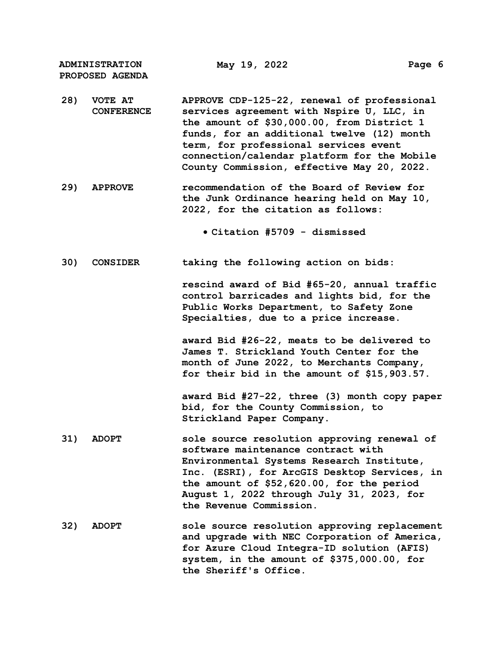**28) VOTE AT CONFERENCE APPROVE CDP-125-22, renewal of professional services agreement with Nspire U, LLC, in the amount of \$30,000.00, from District 1 funds, for an additional twelve (12) month term, for professional services event connection/calendar platform for the Mobile County Commission, effective May 20, 2022. 29) APPROVE recommendation of the Board of Review for the Junk Ordinance hearing held on May 10, 2022, for the citation as follows: Citation #5709 - dismissed 30) CONSIDER taking the following action on bids: rescind award of Bid #65-20, annual traffic control barricades and lights bid, for the Public Works Department, to Safety Zone Specialties, due to a price increase. award Bid #26-22, meats to be delivered to James T. Strickland Youth Center for the month of June 2022, to Merchants Company, for their bid in the amount of \$15,903.57. award Bid #27-22, three (3) month copy paper bid, for the County Commission, to Strickland Paper Company. 31) ADOPT sole source resolution approving renewal of software maintenance contract with Environmental Systems Research Institute, Inc. (ESRI), for ArcGIS Desktop Services, in the amount of \$52,620.00, for the period August 1, 2022 through July 31, 2023, for the Revenue Commission. 32) ADOPT sole source resolution approving replacement and upgrade with NEC Corporation of America, for Azure Cloud Integra-ID solution (AFIS) system, in the amount of \$375,000.00, for** 

**the Sheriff's Office.**